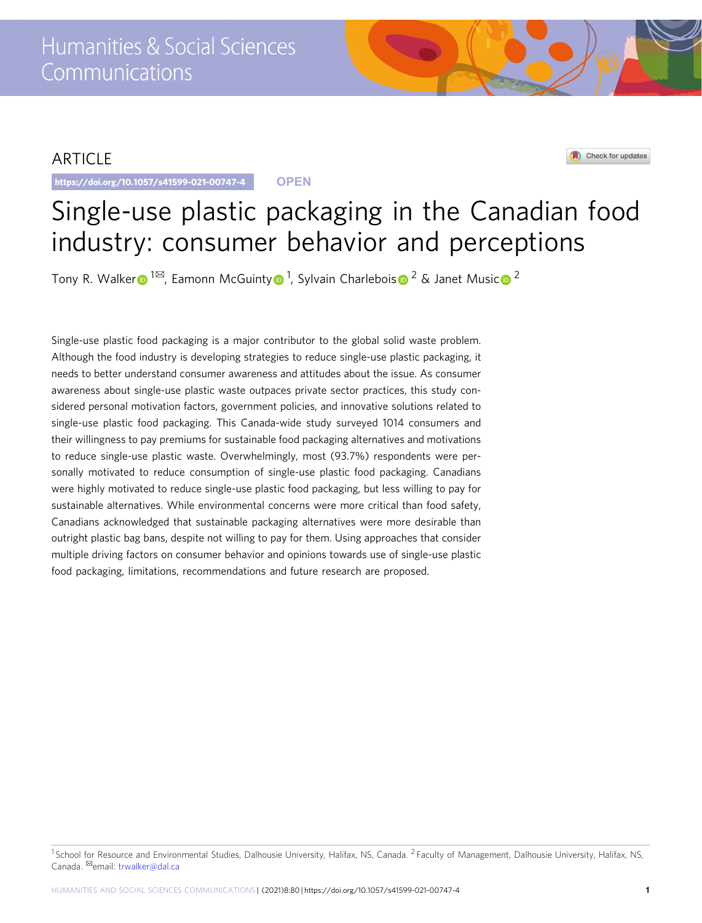# ARTICLE

https://doi.org/10.1057/s41599-021-00747-4 **OPEN**

Check for updates

# Single-use plastic packaging in the Canadian food industry: consumer behavior and perceptions

Tony R. Walke[r](http://orcid.org/0000-0001-9008-0697) $\bigcirc$  $\bigcirc$  $\bigcirc$  [1](http://orcid.org/0000-0001-9008-0697) $^{\boxtimes}$  $^{\boxtimes}$  $^{\boxtimes}$ , Eamonn McGuint[y](http://orcid.org/0000-0002-5985-038X) $\bigcirc$  1, Sylvain Charlebois $\bigcirc$  2 & Janet Music $\bigcirc$  2

Single-use plastic food packaging is a major contributor to the global solid waste problem. Although the food industry is developing strategies to reduce single-use plastic packaging, it needs to better understand consumer awareness and attitudes about the issue. As consumer awareness about single-use plastic waste outpaces private sector practices, this study considered personal motivation factors, government policies, and innovative solutions related to single-use plastic food packaging. This Canada-wide study surveyed 1014 consumers and their willingness to pay premiums for sustainable food packaging alternatives and motivations to reduce single-use plastic waste. Overwhelmingly, most (93.7%) respondents were personally motivated to reduce consumption of single-use plastic food packaging. Canadians were highly motivated to reduce single-use plastic food packaging, but less willing to pay for sustainable alternatives. While environmental concerns were more critical than food safety, Canadians acknowledged that sustainable packaging alternatives were more desirable than outright plastic bag bans, despite not willing to pay for them. Using approaches that consider multiple driving factors on consumer behavior and opinions towards use of single-use plastic food packaging, limitations, recommendations and future research are proposed.

<sup>&</sup>lt;sup>1</sup> School for Resource and Environmental Studies, Dalhousie University, Halifax, NS, Canada. <sup>2</sup> Faculty of Management, Dalhousie University, Halifax, NS, Canada. <sup>Ø</sup>email: [trwalker@dal.ca](mailto:trwalker@dal.ca)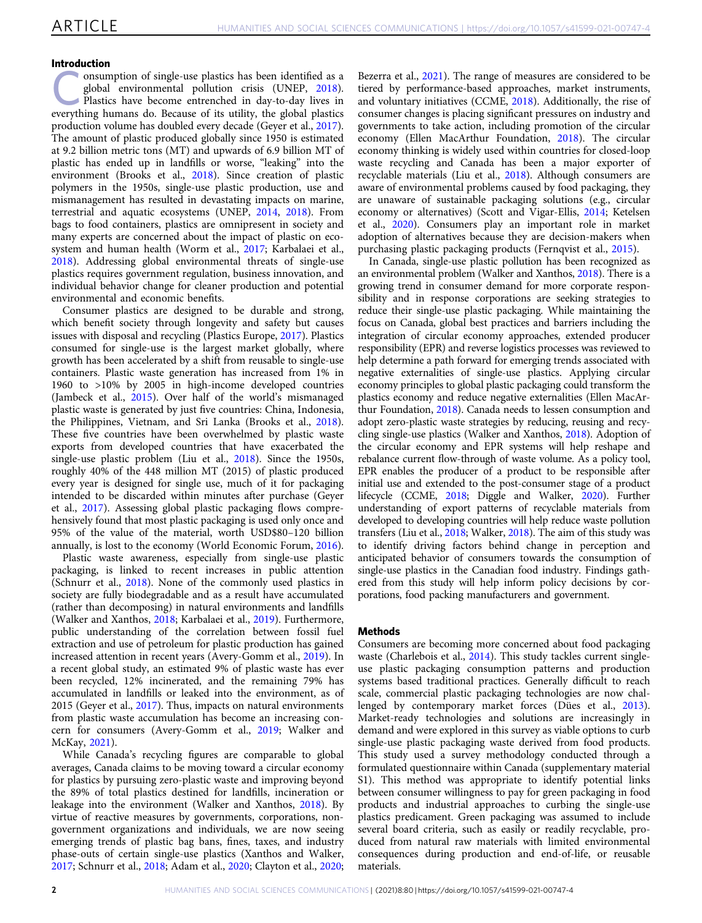# Introduction

medicion<br>
onsumption of single-use plastics has been identified as a<br>
plastics have become entrenched in day-to-day lives in<br>
Plastics have become entrenched in day-to-day lives in<br>
such a plastics global environmental pollution crisis (UNEP, [2018](#page-10-0)). everything humans do. Because of its utility, the global plastics production volume has doubled every decade (Geyer et al., [2017](#page-9-0)). The amount of plastic produced globally since 1950 is estimated at 9.2 billion metric tons (MT) and upwards of 6.9 billion MT of plastic has ended up in landfills or worse, "leaking" into the environment (Brooks et al., [2018\)](#page-9-0). Since creation of plastic polymers in the 1950s, single-use plastic production, use and mismanagement has resulted in devastating impacts on marine, terrestrial and aquatic ecosystems (UNEP, [2014,](#page-10-0) [2018\)](#page-10-0). From bags to food containers, plastics are omnipresent in society and many experts are concerned about the impact of plastic on ecosystem and human health (Worm et al., [2017;](#page-10-0) Karbalaei et al., [2018\)](#page-9-0). Addressing global environmental threats of single-use plastics requires government regulation, business innovation, and individual behavior change for cleaner production and potential environmental and economic benefits.

Consumer plastics are designed to be durable and strong, which benefit society through longevity and safety but causes issues with disposal and recycling (Plastics Europe, [2017\)](#page-10-0). Plastics consumed for single-use is the largest market globally, where growth has been accelerated by a shift from reusable to single-use containers. Plastic waste generation has increased from 1% in 1960 to >10% by 2005 in high-income developed countries (Jambeck et al., [2015](#page-9-0)). Over half of the world's mismanaged plastic waste is generated by just five countries: China, Indonesia, the Philippines, Vietnam, and Sri Lanka (Brooks et al., [2018](#page-9-0)). These five countries have been overwhelmed by plastic waste exports from developed countries that have exacerbated the single-use plastic problem (Liu et al., [2018\)](#page-10-0). Since the 1950s, roughly 40% of the 448 million MT (2015) of plastic produced every year is designed for single use, much of it for packaging intended to be discarded within minutes after purchase (Geyer et al., [2017\)](#page-9-0). Assessing global plastic packaging flows comprehensively found that most plastic packaging is used only once and 95% of the value of the material, worth USD\$80–120 billion annually, is lost to the economy (World Economic Forum, [2016](#page-10-0)).

Plastic waste awareness, especially from single-use plastic packaging, is linked to recent increases in public attention (Schnurr et al., [2018\)](#page-10-0). None of the commonly used plastics in society are fully biodegradable and as a result have accumulated (rather than decomposing) in natural environments and landfills (Walker and Xanthos, [2018;](#page-10-0) Karbalaei et al., [2019](#page-10-0)). Furthermore, public understanding of the correlation between fossil fuel extraction and use of petroleum for plastic production has gained increased attention in recent years (Avery-Gomm et al., [2019](#page-9-0)). In a recent global study, an estimated 9% of plastic waste has ever been recycled, 12% incinerated, and the remaining 79% has accumulated in landfills or leaked into the environment, as of 2015 (Geyer et al., [2017](#page-9-0)). Thus, impacts on natural environments from plastic waste accumulation has become an increasing concern for consumers (Avery-Gomm et al., [2019;](#page-9-0) Walker and McKay, [2021](#page-10-0)).

While Canada's recycling figures are comparable to global averages, Canada claims to be moving toward a circular economy for plastics by pursuing zero-plastic waste and improving beyond the 89% of total plastics destined for landfills, incineration or leakage into the environment (Walker and Xanthos, [2018](#page-10-0)). By virtue of reactive measures by governments, corporations, nongovernment organizations and individuals, we are now seeing emerging trends of plastic bag bans, fines, taxes, and industry phase-outs of certain single-use plastics (Xanthos and Walker, [2017;](#page-10-0) Schnurr et al., [2018](#page-10-0); Adam et al., [2020;](#page-9-0) Clayton et al., [2020;](#page-9-0)

Bezerra et al., [2021](#page-9-0)). The range of measures are considered to be tiered by performance-based approaches, market instruments, and voluntary initiatives (CCME, [2018](#page-9-0)). Additionally, the rise of consumer changes is placing significant pressures on industry and governments to take action, including promotion of the circular economy (Ellen MacArthur Foundation, [2018](#page-9-0)). The circular economy thinking is widely used within countries for closed-loop waste recycling and Canada has been a major exporter of recyclable materials (Liu et al., [2018](#page-10-0)). Although consumers are aware of environmental problems caused by food packaging, they are unaware of sustainable packaging solutions (e.g., circular economy or alternatives) (Scott and Vigar-Ellis, [2014;](#page-10-0) Ketelsen et al., [2020\)](#page-10-0). Consumers play an important role in market adoption of alternatives because they are decision-makers when purchasing plastic packaging products (Fernqvist et al., [2015](#page-9-0)).

In Canada, single-use plastic pollution has been recognized as an environmental problem (Walker and Xanthos, [2018\)](#page-10-0). There is a growing trend in consumer demand for more corporate responsibility and in response corporations are seeking strategies to reduce their single-use plastic packaging. While maintaining the focus on Canada, global best practices and barriers including the integration of circular economy approaches, extended producer responsibility (EPR) and reverse logistics processes was reviewed to help determine a path forward for emerging trends associated with negative externalities of single-use plastics. Applying circular economy principles to global plastic packaging could transform the plastics economy and reduce negative externalities (Ellen MacArthur Foundation, [2018](#page-9-0)). Canada needs to lessen consumption and adopt zero-plastic waste strategies by reducing, reusing and recycling single-use plastics (Walker and Xanthos, [2018\)](#page-10-0). Adoption of the circular economy and EPR systems will help reshape and rebalance current flow-through of waste volume. As a policy tool, EPR enables the producer of a product to be responsible after initial use and extended to the post-consumer stage of a product lifecycle (CCME, [2018;](#page-9-0) Diggle and Walker, [2020](#page-9-0)). Further understanding of export patterns of recyclable materials from developed to developing countries will help reduce waste pollution transfers (Liu et al., [2018](#page-10-0); Walker, [2018\)](#page-10-0). The aim of this study was to identify driving factors behind change in perception and anticipated behavior of consumers towards the consumption of single-use plastics in the Canadian food industry. Findings gathered from this study will help inform policy decisions by corporations, food packing manufacturers and government.

#### Methods

Consumers are becoming more concerned about food packaging waste (Charlebois et al., [2014\)](#page-9-0). This study tackles current singleuse plastic packaging consumption patterns and production systems based traditional practices. Generally difficult to reach scale, commercial plastic packaging technologies are now challenged by contemporary market forces (Dües et al., [2013](#page-9-0)). Market-ready technologies and solutions are increasingly in demand and were explored in this survey as viable options to curb single-use plastic packaging waste derived from food products. This study used a survey methodology conducted through a formulated questionnaire within Canada (supplementary material S1). This method was appropriate to identify potential links between consumer willingness to pay for green packaging in food products and industrial approaches to curbing the single-use plastics predicament. Green packaging was assumed to include several board criteria, such as easily or readily recyclable, produced from natural raw materials with limited environmental consequences during production and end-of-life, or reusable materials.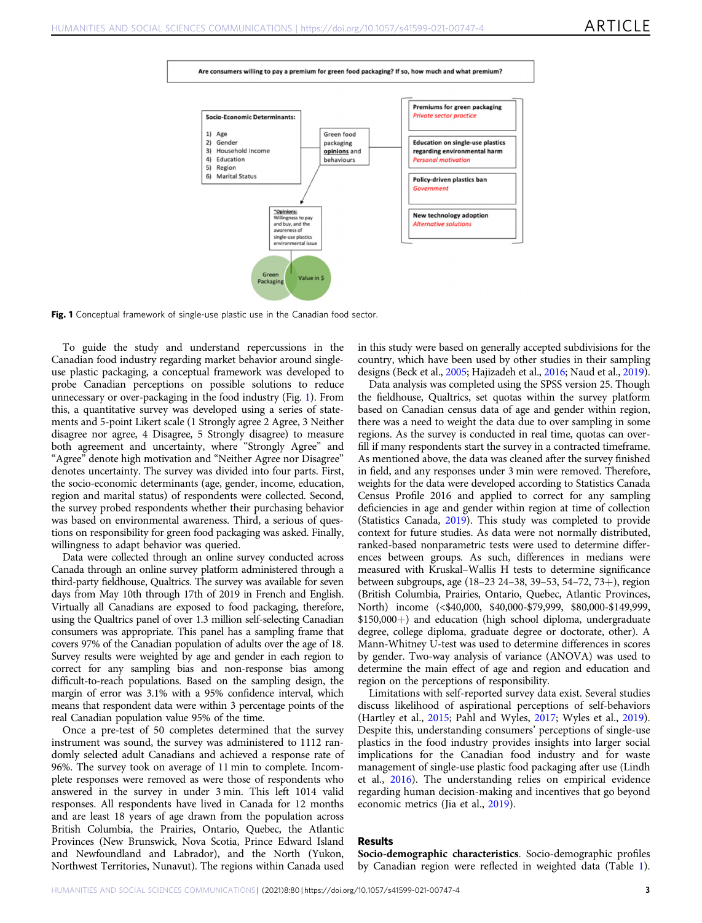<span id="page-2-0"></span>



Fig. 1 Conceptual framework of single-use plastic use in the Canadian food sector.

To guide the study and understand repercussions in the Canadian food industry regarding market behavior around singleuse plastic packaging, a conceptual framework was developed to probe Canadian perceptions on possible solutions to reduce unnecessary or over-packaging in the food industry (Fig. 1). From this, a quantitative survey was developed using a series of statements and 5-point Likert scale (1 Strongly agree 2 Agree, 3 Neither disagree nor agree, 4 Disagree, 5 Strongly disagree) to measure both agreement and uncertainty, where "Strongly Agree" and "Agree" denote high motivation and "Neither Agree nor Disagree" denotes uncertainty. The survey was divided into four parts. First, the socio-economic determinants (age, gender, income, education, region and marital status) of respondents were collected. Second, the survey probed respondents whether their purchasing behavior was based on environmental awareness. Third, a serious of questions on responsibility for green food packaging was asked. Finally, willingness to adapt behavior was queried.

Data were collected through an online survey conducted across Canada through an online survey platform administered through a third-party fieldhouse, Qualtrics. The survey was available for seven days from May 10th through 17th of 2019 in French and English. Virtually all Canadians are exposed to food packaging, therefore, using the Qualtrics panel of over 1.3 million self-selecting Canadian consumers was appropriate. This panel has a sampling frame that covers 97% of the Canadian population of adults over the age of 18. Survey results were weighted by age and gender in each region to correct for any sampling bias and non-response bias among difficult-to-reach populations. Based on the sampling design, the margin of error was 3.1% with a 95% confidence interval, which means that respondent data were within 3 percentage points of the real Canadian population value 95% of the time.

Once a pre-test of 50 completes determined that the survey instrument was sound, the survey was administered to 1112 randomly selected adult Canadians and achieved a response rate of 96%. The survey took on average of 11 min to complete. Incomplete responses were removed as were those of respondents who answered in the survey in under 3 min. This left 1014 valid responses. All respondents have lived in Canada for 12 months and are least 18 years of age drawn from the population across British Columbia, the Prairies, Ontario, Quebec, the Atlantic Provinces (New Brunswick, Nova Scotia, Prince Edward Island and Newfoundland and Labrador), and the North (Yukon, Northwest Territories, Nunavut). The regions within Canada used

in this study were based on generally accepted subdivisions for the country, which have been used by other studies in their sampling designs (Beck et al., [2005;](#page-9-0) Hajizadeh et al., [2016;](#page-9-0) Naud et al., [2019](#page-10-0)).

Data analysis was completed using the SPSS version 25. Though the fieldhouse, Qualtrics, set quotas within the survey platform based on Canadian census data of age and gender within region, there was a need to weight the data due to over sampling in some regions. As the survey is conducted in real time, quotas can overfill if many respondents start the survey in a contracted timeframe. As mentioned above, the data was cleaned after the survey finished in field, and any responses under 3 min were removed. Therefore, weights for the data were developed according to Statistics Canada Census Profile 2016 and applied to correct for any sampling deficiencies in age and gender within region at time of collection (Statistics Canada, [2019\)](#page-10-0). This study was completed to provide context for future studies. As data were not normally distributed, ranked-based nonparametric tests were used to determine differences between groups. As such, differences in medians were measured with Kruskal–Wallis H tests to determine significance between subgroups, age (18–23 24–38, 39–53, 54–72, 73+), region (British Columbia, Prairies, Ontario, Quebec, Atlantic Provinces, North) income (<\$40,000, \$40,000-\$79,999, \$80,000-\$149,999, \$150,000+) and education (high school diploma, undergraduate degree, college diploma, graduate degree or doctorate, other). A Mann-Whitney U-test was used to determine differences in scores by gender. Two-way analysis of variance (ANOVA) was used to determine the main effect of age and region and education and region on the perceptions of responsibility.

Limitations with self-reported survey data exist. Several studies discuss likelihood of aspirational perceptions of self-behaviors (Hartley et al., [2015](#page-9-0); Pahl and Wyles, [2017;](#page-10-0) Wyles et al., [2019](#page-10-0)). Despite this, understanding consumers' perceptions of single-use plastics in the food industry provides insights into larger social implications for the Canadian food industry and for waste management of single-use plastic food packaging after use (Lindh et al., [2016](#page-10-0)). The understanding relies on empirical evidence regarding human decision-making and incentives that go beyond economic metrics (Jia et al., [2019](#page-9-0)).

# Results

Socio-demographic characteristics. Socio-demographic profiles by Canadian region were reflected in weighted data (Table [1](#page-3-0)).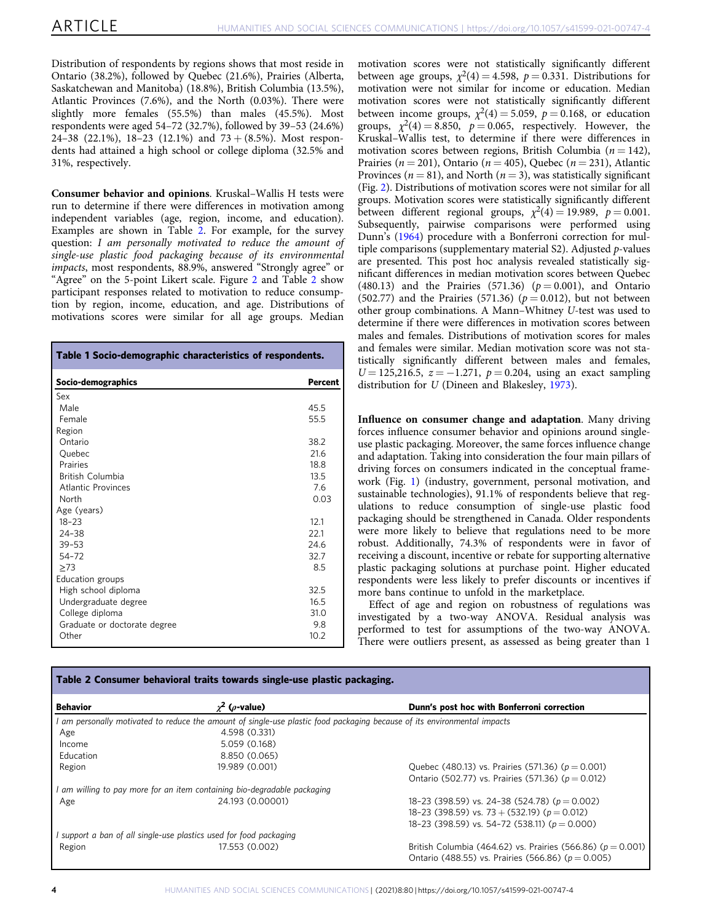<span id="page-3-0"></span>Distribution of respondents by regions shows that most reside in Ontario (38.2%), followed by Quebec (21.6%), Prairies (Alberta, Saskatchewan and Manitoba) (18.8%), British Columbia (13.5%), Atlantic Provinces (7.6%), and the North (0.03%). There were slightly more females (55.5%) than males (45.5%). Most respondents were aged 54–72 (32.7%), followed by 39–53 (24.6%) 24–38 (22.1%), 18–23 (12.1%) and  $73 + (8.5\%)$ . Most respondents had attained a high school or college diploma (32.5% and 31%, respectively.

Consumer behavior and opinions. Kruskal–Wallis H tests were run to determine if there were differences in motivation among independent variables (age, region, income, and education). Examples are shown in Table 2. For example, for the survey question: I am personally motivated to reduce the amount of single-use plastic food packaging because of its environmental impacts, most respondents, 88.9%, answered "Strongly agree" or "Agree" on the 5-point Likert scale. Figure [2](#page-4-0) and Table 2 show participant responses related to motivation to reduce consumption by region, income, education, and age. Distributions of motivations scores were similar for all age groups. Median

| Table 1 Socio-demographic characteristics of respondents. |                |  |
|-----------------------------------------------------------|----------------|--|
| Socio-demographics                                        | <b>Percent</b> |  |
| Sex                                                       |                |  |
| Male                                                      | 45.5           |  |
| Female                                                    | 55.5           |  |
| Region                                                    |                |  |
| Ontario                                                   | 38.2           |  |
| Quebec                                                    | 21.6           |  |
| Prairies                                                  | 18.8           |  |
| British Columbia                                          | 13.5           |  |
| Atlantic Provinces                                        | 7.6            |  |
| North                                                     | 0.03           |  |
| Age (years)                                               |                |  |
| $18 - 23$                                                 | 12.1           |  |
| $24 - 38$                                                 | 22.1           |  |
| $39 - 53$                                                 | 24.6           |  |
| $54 - 72$                                                 | 32.7           |  |
| >73                                                       | 8.5            |  |
| Education groups                                          |                |  |
| High school diploma                                       | 32.5           |  |
| Undergraduate degree                                      | 16.5           |  |
| College diploma                                           | 31.0           |  |
| Graduate or doctorate degree                              | 9.8            |  |
| Other                                                     | 10.2           |  |

motivation scores were not statistically significantly different between age groups,  $\chi^2(4) = 4.598$ ,  $p = 0.331$ . Distributions for motivation were not similar for income or education. Median motivation scores were not statistically significantly different between income groups,  $\chi^2(4) = 5.059$ ,  $p = 0.168$ , or education groups,  $\chi^2(4) = 8.850$ ,  $p = 0.065$ , respectively. However, the Kruskal–Wallis test, to determine if there were differences in motivation scores between regions, British Columbia ( $n = 142$ ), Prairies ( $n = 201$ ), Ontario ( $n = 405$ ), Quebec ( $n = 231$ ), Atlantic Provinces ( $n = 81$ ), and North ( $n = 3$ ), was statistically significant (Fig. [2\)](#page-4-0). Distributions of motivation scores were not similar for all groups. Motivation scores were statistically significantly different between different regional groups,  $\chi^2(4) = 19.989$ ,  $p = 0.001$ . Subsequently, pairwise comparisons were performed using Dunn's ([1964](#page-9-0)) procedure with a Bonferroni correction for multiple comparisons (supplementary material S2). Adjusted  $p$ -values are presented. This post hoc analysis revealed statistically significant differences in median motivation scores between Quebec (480.13) and the Prairies (571.36) ( $p = 0.001$ ), and Ontario (502.77) and the Prairies (571.36) ( $p = 0.012$ ), but not between other group combinations. A Mann–Whitney U-test was used to determine if there were differences in motivation scores between males and females. Distributions of motivation scores for males and females were similar. Median motivation score was not statistically significantly different between males and females,  $U = 125,216.5, z = -1.271, p = 0.204$ , using an exact sampling distribution for U (Dineen and Blakesley, [1973](#page-9-0)).

Influence on consumer change and adaptation. Many driving forces influence consumer behavior and opinions around singleuse plastic packaging. Moreover, the same forces influence change and adaptation. Taking into consideration the four main pillars of driving forces on consumers indicated in the conceptual framework (Fig. [1\)](#page-2-0) (industry, government, personal motivation, and sustainable technologies), 91.1% of respondents believe that regulations to reduce consumption of single-use plastic food packaging should be strengthened in Canada. Older respondents were more likely to believe that regulations need to be more robust. Additionally, 74.3% of respondents were in favor of receiving a discount, incentive or rebate for supporting alternative plastic packaging solutions at purchase point. Higher educated respondents were less likely to prefer discounts or incentives if more bans continue to unfold in the marketplace.

Effect of age and region on robustness of regulations was investigated by a two-way ANOVA. Residual analysis was performed to test for assumptions of the two-way ANOVA. There were outliers present, as assessed as being greater than 1

| Table 2 Consumer behavioral traits towards single-use plastic packaging. |                                                                                                                        |                                                                 |
|--------------------------------------------------------------------------|------------------------------------------------------------------------------------------------------------------------|-----------------------------------------------------------------|
| <b>Behavior</b>                                                          | $\chi^2$ ( <i>o</i> -value)                                                                                            | Dunn's post hoc with Bonferroni correction                      |
|                                                                          | am personally motivated to reduce the amount of single-use plastic food packaging because of its environmental impacts |                                                                 |
| Age                                                                      | 4.598 (0.331)                                                                                                          |                                                                 |
| Income                                                                   | 5.059 (0.168)                                                                                                          |                                                                 |
| Education                                                                | 8.850 (0.065)                                                                                                          |                                                                 |
| Region                                                                   | 19.989 (0.001)                                                                                                         | Quebec (480.13) vs. Prairies (571.36) ( $p = 0.001$ )           |
|                                                                          |                                                                                                                        | Ontario (502.77) vs. Prairies (571.36) ( $p = 0.012$ )          |
|                                                                          | am willing to pay more for an item containing bio-degradable packaging                                                 |                                                                 |
| Age                                                                      | 24.193 (0.00001)                                                                                                       | 18-23 (398.59) vs. 24-38 (524.78) ( $p = 0.002$ )               |
|                                                                          |                                                                                                                        | 18-23 (398.59) vs. 73 + (532.19) ( $p = 0.012$ )                |
|                                                                          |                                                                                                                        | 18-23 (398.59) vs. 54-72 (538.11) ( $p = 0.000$ )               |
|                                                                          | support a ban of all single-use plastics used for food packaging                                                       |                                                                 |
| Region                                                                   | 17.553 (0.002)                                                                                                         | British Columbia (464.62) vs. Prairies (566.86) ( $p = 0.001$ ) |
|                                                                          |                                                                                                                        | Ontario (488.55) vs. Prairies (566.86) ( $p = 0.005$ )          |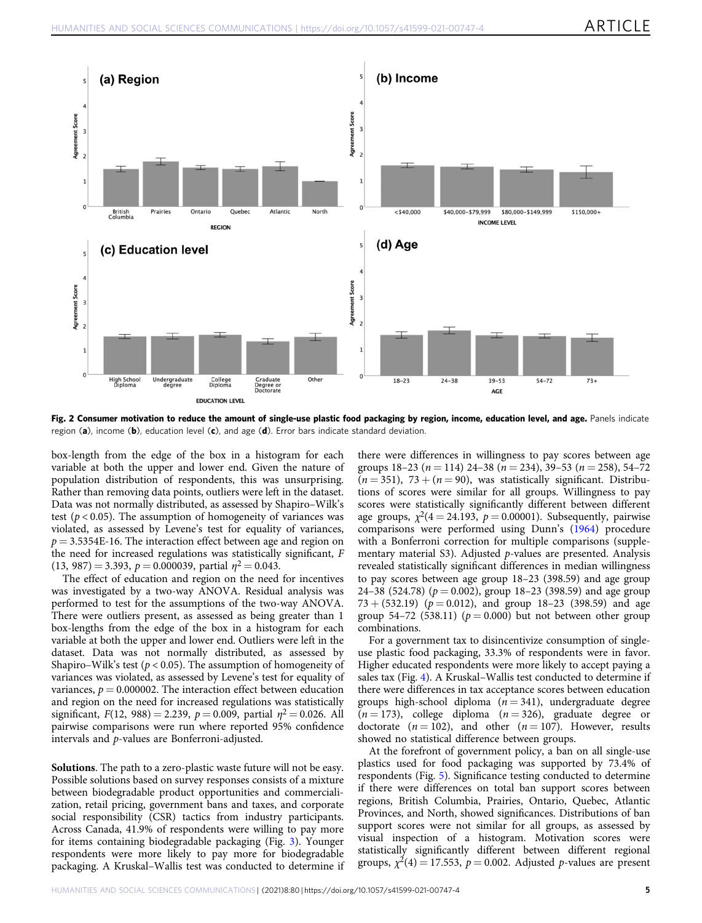<span id="page-4-0"></span>

Fig. 2 Consumer motivation to reduce the amount of single-use plastic food packaging by region, income, education level, and age. Panels indicate region (a), income (b), education level (c), and age (d). Error bars indicate standard deviation.

box-length from the edge of the box in a histogram for each variable at both the upper and lower end. Given the nature of population distribution of respondents, this was unsurprising. Rather than removing data points, outliers were left in the dataset. Data was not normally distributed, as assessed by Shapiro–Wilk's test ( $p < 0.05$ ). The assumption of homogeneity of variances was violated, as assessed by Levene's test for equality of variances,  $p = 3.5354E-16$ . The interaction effect between age and region on the need for increased regulations was statistically significant, F (13, 987) = 3.393,  $p = 0.000039$ , partial  $\eta^2 = 0.043$ .

The effect of education and region on the need for incentives was investigated by a two-way ANOVA. Residual analysis was performed to test for the assumptions of the two-way ANOVA. There were outliers present, as assessed as being greater than 1 box-lengths from the edge of the box in a histogram for each variable at both the upper and lower end. Outliers were left in the dataset. Data was not normally distributed, as assessed by Shapiro–Wilk's test ( $p < 0.05$ ). The assumption of homogeneity of variances was violated, as assessed by Levene's test for equality of variances,  $p = 0.000002$ . The interaction effect between education and region on the need for increased regulations was statistically significant,  $F(12, 988) = 2.239$ ,  $p = 0.009$ , partial  $\eta^2 = 0.026$ . All pairwise comparisons were run where reported 95% confidence intervals and p-values are Bonferroni-adjusted.

Solutions. The path to a zero-plastic waste future will not be easy. Possible solutions based on survey responses consists of a mixture between biodegradable product opportunities and commercialization, retail pricing, government bans and taxes, and corporate social responsibility (CSR) tactics from industry participants. Across Canada, 41.9% of respondents were willing to pay more for items containing biodegradable packaging (Fig. [3](#page-5-0)). Younger respondents were more likely to pay more for biodegradable packaging. A Kruskal–Wallis test was conducted to determine if there were differences in willingness to pay scores between age groups  $18-23$  ( $n = 114$ )  $24-38$  ( $n = 234$ ),  $39-53$  ( $n = 258$ ),  $54-72$  $(n = 351)$ , 73 +  $(n = 90)$ , was statistically significant. Distributions of scores were similar for all groups. Willingness to pay scores were statistically significantly different between different age groups,  $\chi^2(4 = 24.193, p = 0.00001)$ . Subsequently, pairwise comparisons were performed using Dunn's ([1964\)](#page-9-0) procedure with a Bonferroni correction for multiple comparisons (supplementary material S3). Adjusted p-values are presented. Analysis revealed statistically significant differences in median willingness to pay scores between age group 18–23 (398.59) and age group 24–38 (524.78) ( $p = 0.002$ ), group 18–23 (398.59) and age group 73 + (532.19) ( $p = 0.012$ ), and group 18-23 (398.59) and age group 54–72 (538.11) ( $p = 0.000$ ) but not between other group combinations.

For a government tax to disincentivize consumption of singleuse plastic food packaging, 33.3% of respondents were in favor. Higher educated respondents were more likely to accept paying a sales tax (Fig. [4](#page-5-0)). A Kruskal–Wallis test conducted to determine if there were differences in tax acceptance scores between education groups high-school diploma  $(n = 341)$ , undergraduate degree  $(n = 173)$ , college diploma  $(n = 326)$ , graduate degree or doctorate ( $n = 102$ ), and other ( $n = 107$ ). However, results showed no statistical difference between groups.

At the forefront of government policy, a ban on all single-use plastics used for food packaging was supported by 73.4% of respondents (Fig. [5\)](#page-5-0). Significance testing conducted to determine if there were differences on total ban support scores between regions, British Columbia, Prairies, Ontario, Quebec, Atlantic Provinces, and North, showed significances. Distributions of ban support scores were not similar for all groups, as assessed by visual inspection of a histogram. Motivation scores were statistically significantly different between different regional groups,  $\chi^2(4) = 17.553$ ,  $p = 0.002$ . Adjusted p-values are present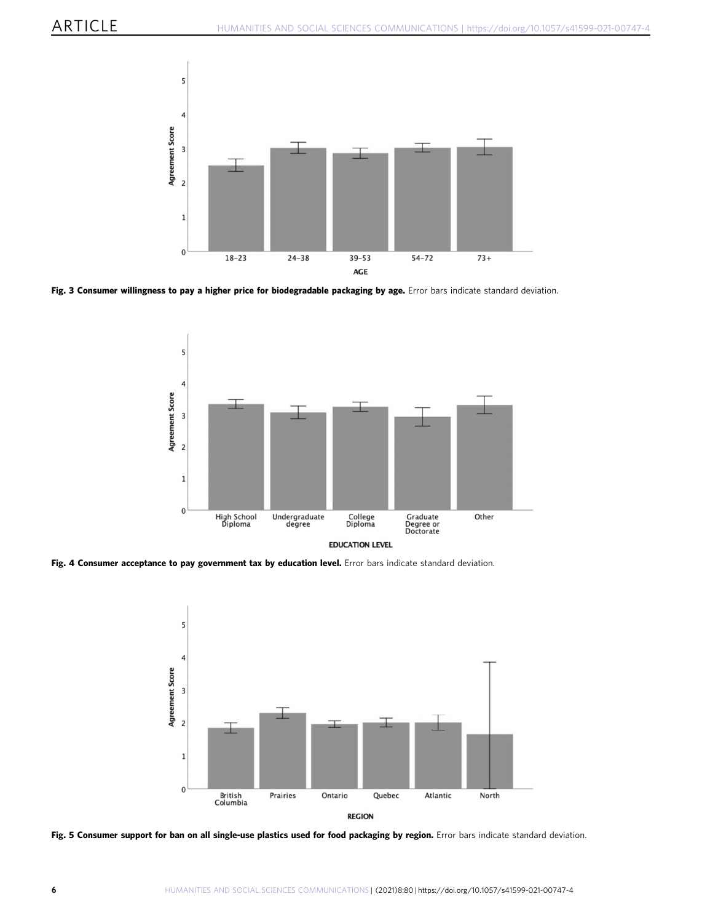<span id="page-5-0"></span>

Fig. 3 Consumer willingness to pay a higher price for biodegradable packaging by age. Error bars indicate standard deviation.



Fig. 4 Consumer acceptance to pay government tax by education level. Error bars indicate standard deviation.



Fig. 5 Consumer support for ban on all single-use plastics used for food packaging by region. Error bars indicate standard deviation.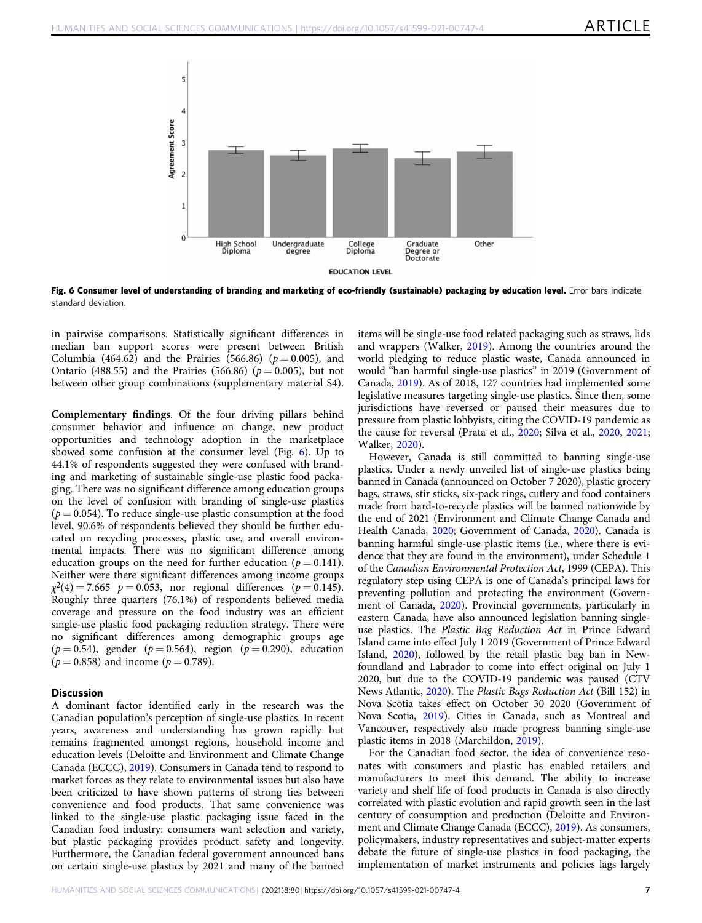

Fig. 6 Consumer level of understanding of branding and marketing of eco-friendly (sustainable) packaging by education level. Error bars indicate standard deviation.

in pairwise comparisons. Statistically significant differences in median ban support scores were present between British Columbia (464.62) and the Prairies (566.86) ( $p = 0.005$ ), and Ontario (488.55) and the Prairies (566.86) ( $p = 0.005$ ), but not between other group combinations (supplementary material S4).

Complementary findings. Of the four driving pillars behind consumer behavior and influence on change, new product opportunities and technology adoption in the marketplace showed some confusion at the consumer level (Fig. 6). Up to 44.1% of respondents suggested they were confused with branding and marketing of sustainable single-use plastic food packaging. There was no significant difference among education groups on the level of confusion with branding of single-use plastics  $(p = 0.054)$ . To reduce single-use plastic consumption at the food level, 90.6% of respondents believed they should be further educated on recycling processes, plastic use, and overall environmental impacts. There was no significant difference among education groups on the need for further education ( $p = 0.141$ ). Neither were there significant differences among income groups  $\chi^2(4) = 7.665 \rho = 0.053$ , nor regional differences ( $p = 0.145$ ). Roughly three quarters (76.1%) of respondents believed media coverage and pressure on the food industry was an efficient single-use plastic food packaging reduction strategy. There were no significant differences among demographic groups age  $(p = 0.54)$ , gender  $(p = 0.564)$ , region  $(p = 0.290)$ , education  $(p = 0.858)$  and income  $(p = 0.789)$ .

# **Discussion**

A dominant factor identified early in the research was the Canadian population's perception of single-use plastics. In recent years, awareness and understanding has grown rapidly but remains fragmented amongst regions, household income and education levels (Deloitte and Environment and Climate Change Canada (ECCC), [2019\)](#page-9-0). Consumers in Canada tend to respond to market forces as they relate to environmental issues but also have been criticized to have shown patterns of strong ties between convenience and food products. That same convenience was linked to the single-use plastic packaging issue faced in the Canadian food industry: consumers want selection and variety, but plastic packaging provides product safety and longevity. Furthermore, the Canadian federal government announced bans on certain single-use plastics by 2021 and many of the banned

items will be single-use food related packaging such as straws, lids and wrappers (Walker, [2019](#page-10-0)). Among the countries around the world pledging to reduce plastic waste, Canada announced in would "ban harmful single-use plastics" in 2019 (Government of Canada, [2019](#page-9-0)). As of 2018, 127 countries had implemented some legislative measures targeting single-use plastics. Since then, some jurisdictions have reversed or paused their measures due to pressure from plastic lobbyists, citing the COVID-19 pandemic as the cause for reversal (Prata et al., [2020;](#page-10-0) Silva et al., [2020](#page-10-0), [2021;](#page-10-0) Walker, [2020\)](#page-10-0).

However, Canada is still committed to banning single-use plastics. Under a newly unveiled list of single-use plastics being banned in Canada (announced on October 7 2020), plastic grocery bags, straws, stir sticks, six-pack rings, cutlery and food containers made from hard-to-recycle plastics will be banned nationwide by the end of 2021 (Environment and Climate Change Canada and Health Canada, [2020;](#page-9-0) Government of Canada, [2020\)](#page-9-0). Canada is banning harmful single-use plastic items (i.e., where there is evidence that they are found in the environment), under Schedule 1 of the Canadian Environmental Protection Act, 1999 (CEPA). This regulatory step using CEPA is one of Canada's principal laws for preventing pollution and protecting the environment (Government of Canada, [2020](#page-9-0)). Provincial governments, particularly in eastern Canada, have also announced legislation banning singleuse plastics. The Plastic Bag Reduction Act in Prince Edward Island came into effect July 1 2019 (Government of Prince Edward Island, [2020](#page-9-0)), followed by the retail plastic bag ban in Newfoundland and Labrador to come into effect original on July 1 2020, but due to the COVID-19 pandemic was paused (CTV News Atlantic, [2020\)](#page-9-0). The Plastic Bags Reduction Act (Bill 152) in Nova Scotia takes effect on October 30 2020 (Government of Nova Scotia, [2019\)](#page-9-0). Cities in Canada, such as Montreal and Vancouver, respectively also made progress banning single-use plastic items in 2018 (Marchildon, [2019](#page-10-0)).

For the Canadian food sector, the idea of convenience resonates with consumers and plastic has enabled retailers and manufacturers to meet this demand. The ability to increase variety and shelf life of food products in Canada is also directly correlated with plastic evolution and rapid growth seen in the last century of consumption and production (Deloitte and Environment and Climate Change Canada (ECCC), [2019](#page-9-0)). As consumers, policymakers, industry representatives and subject-matter experts debate the future of single-use plastics in food packaging, the implementation of market instruments and policies lags largely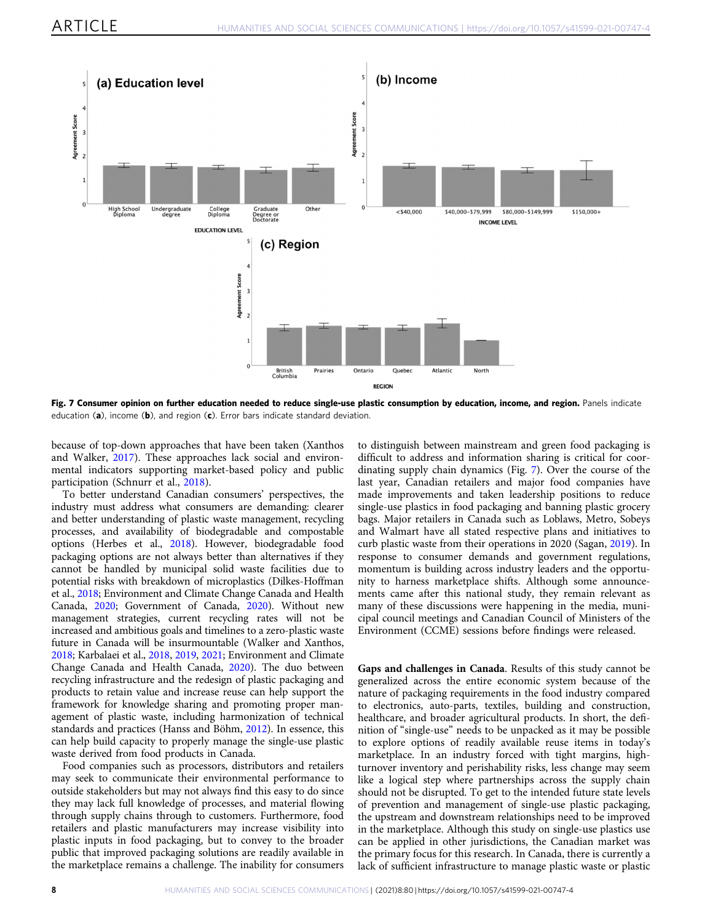

Fig. 7 Consumer opinion on further education needed to reduce single-use plastic consumption by education, income, and region. Panels indicate education (a), income (b), and region (c). Error bars indicate standard deviation.

because of top-down approaches that have been taken (Xanthos and Walker, [2017\)](#page-10-0). These approaches lack social and environmental indicators supporting market-based policy and public participation (Schnurr et al., [2018\)](#page-10-0).

To better understand Canadian consumers' perspectives, the industry must address what consumers are demanding: clearer and better understanding of plastic waste management, recycling processes, and availability of biodegradable and compostable options (Herbes et al., [2018](#page-9-0)). However, biodegradable food packaging options are not always better than alternatives if they cannot be handled by municipal solid waste facilities due to potential risks with breakdown of microplastics (Dilkes-Hoffman et al., [2018;](#page-9-0) Environment and Climate Change Canada and Health Canada, [2020;](#page-9-0) Government of Canada, [2020](#page-9-0)). Without new management strategies, current recycling rates will not be increased and ambitious goals and timelines to a zero-plastic waste future in Canada will be insurmountable (Walker and Xanthos, [2018;](#page-10-0) Karbalaei et al., [2018,](#page-9-0) [2019,](#page-10-0) [2021](#page-10-0); Environment and Climate Change Canada and Health Canada, [2020](#page-9-0)). The duo between recycling infrastructure and the redesign of plastic packaging and products to retain value and increase reuse can help support the framework for knowledge sharing and promoting proper management of plastic waste, including harmonization of technical standards and practices (Hanss and Böhm, [2012\)](#page-9-0). In essence, this can help build capacity to properly manage the single-use plastic waste derived from food products in Canada.

Food companies such as processors, distributors and retailers may seek to communicate their environmental performance to outside stakeholders but may not always find this easy to do since they may lack full knowledge of processes, and material flowing through supply chains through to customers. Furthermore, food retailers and plastic manufacturers may increase visibility into plastic inputs in food packaging, but to convey to the broader public that improved packaging solutions are readily available in the marketplace remains a challenge. The inability for consumers to distinguish between mainstream and green food packaging is difficult to address and information sharing is critical for coordinating supply chain dynamics (Fig. 7). Over the course of the last year, Canadian retailers and major food companies have made improvements and taken leadership positions to reduce single-use plastics in food packaging and banning plastic grocery bags. Major retailers in Canada such as Loblaws, Metro, Sobeys and Walmart have all stated respective plans and initiatives to curb plastic waste from their operations in 2020 (Sagan, [2019\)](#page-10-0). In response to consumer demands and government regulations, momentum is building across industry leaders and the opportunity to harness marketplace shifts. Although some announcements came after this national study, they remain relevant as many of these discussions were happening in the media, municipal council meetings and Canadian Council of Ministers of the Environment (CCME) sessions before findings were released.

Gaps and challenges in Canada. Results of this study cannot be generalized across the entire economic system because of the nature of packaging requirements in the food industry compared to electronics, auto-parts, textiles, building and construction, healthcare, and broader agricultural products. In short, the definition of "single-use" needs to be unpacked as it may be possible to explore options of readily available reuse items in today's marketplace. In an industry forced with tight margins, highturnover inventory and perishability risks, less change may seem like a logical step where partnerships across the supply chain should not be disrupted. To get to the intended future state levels of prevention and management of single-use plastic packaging, the upstream and downstream relationships need to be improved in the marketplace. Although this study on single-use plastics use can be applied in other jurisdictions, the Canadian market was the primary focus for this research. In Canada, there is currently a lack of sufficient infrastructure to manage plastic waste or plastic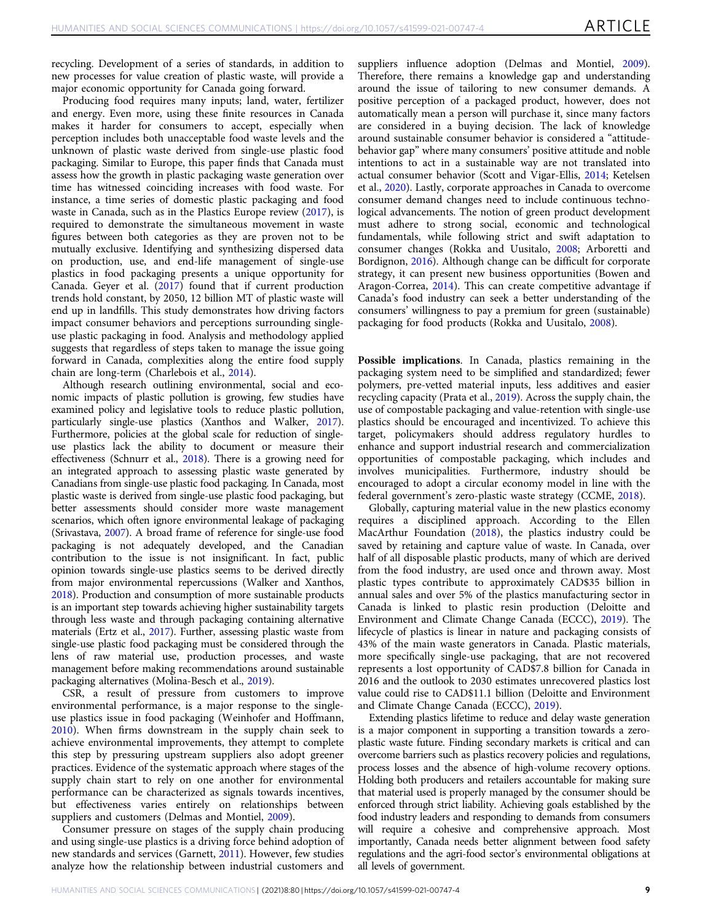recycling. Development of a series of standards, in addition to new processes for value creation of plastic waste, will provide a major economic opportunity for Canada going forward.

Producing food requires many inputs; land, water, fertilizer and energy. Even more, using these finite resources in Canada makes it harder for consumers to accept, especially when perception includes both unacceptable food waste levels and the unknown of plastic waste derived from single-use plastic food packaging. Similar to Europe, this paper finds that Canada must assess how the growth in plastic packaging waste generation over time has witnessed coinciding increases with food waste. For instance, a time series of domestic plastic packaging and food waste in Canada, such as in the Plastics Europe review [\(2017\)](#page-10-0), is required to demonstrate the simultaneous movement in waste figures between both categories as they are proven not to be mutually exclusive. Identifying and synthesizing dispersed data on production, use, and end-life management of single-use plastics in food packaging presents a unique opportunity for Canada. Geyer et al. [\(2017](#page-9-0)) found that if current production trends hold constant, by 2050, 12 billion MT of plastic waste will end up in landfills. This study demonstrates how driving factors impact consumer behaviors and perceptions surrounding singleuse plastic packaging in food. Analysis and methodology applied suggests that regardless of steps taken to manage the issue going forward in Canada, complexities along the entire food supply chain are long-term (Charlebois et al., [2014\)](#page-9-0).

Although research outlining environmental, social and economic impacts of plastic pollution is growing, few studies have examined policy and legislative tools to reduce plastic pollution, particularly single-use plastics (Xanthos and Walker, [2017](#page-10-0)). Furthermore, policies at the global scale for reduction of singleuse plastics lack the ability to document or measure their effectiveness (Schnurr et al., [2018\)](#page-10-0). There is a growing need for an integrated approach to assessing plastic waste generated by Canadians from single-use plastic food packaging. In Canada, most plastic waste is derived from single-use plastic food packaging, but better assessments should consider more waste management scenarios, which often ignore environmental leakage of packaging (Srivastava, [2007](#page-10-0)). A broad frame of reference for single-use food packaging is not adequately developed, and the Canadian contribution to the issue is not insignificant. In fact, public opinion towards single-use plastics seems to be derived directly from major environmental repercussions (Walker and Xanthos, [2018](#page-10-0)). Production and consumption of more sustainable products is an important step towards achieving higher sustainability targets through less waste and through packaging containing alternative materials (Ertz et al., [2017](#page-9-0)). Further, assessing plastic waste from single-use plastic food packaging must be considered through the lens of raw material use, production processes, and waste management before making recommendations around sustainable packaging alternatives (Molina-Besch et al., [2019\)](#page-10-0).

CSR, a result of pressure from customers to improve environmental performance, is a major response to the singleuse plastics issue in food packaging (Weinhofer and Hoffmann, [2010\)](#page-10-0). When firms downstream in the supply chain seek to achieve environmental improvements, they attempt to complete this step by pressuring upstream suppliers also adopt greener practices. Evidence of the systematic approach where stages of the supply chain start to rely on one another for environmental performance can be characterized as signals towards incentives, but effectiveness varies entirely on relationships between suppliers and customers (Delmas and Montiel, [2009](#page-9-0)).

Consumer pressure on stages of the supply chain producing and using single-use plastics is a driving force behind adoption of new standards and services (Garnett, [2011\)](#page-9-0). However, few studies analyze how the relationship between industrial customers and

suppliers influence adoption (Delmas and Montiel, [2009](#page-9-0)). Therefore, there remains a knowledge gap and understanding around the issue of tailoring to new consumer demands. A positive perception of a packaged product, however, does not automatically mean a person will purchase it, since many factors are considered in a buying decision. The lack of knowledge around sustainable consumer behavior is considered a "attitudebehavior gap" where many consumers' positive attitude and noble intentions to act in a sustainable way are not translated into actual consumer behavior (Scott and Vigar-Ellis, [2014](#page-10-0); Ketelsen et al., [2020](#page-10-0)). Lastly, corporate approaches in Canada to overcome consumer demand changes need to include continuous technological advancements. The notion of green product development must adhere to strong social, economic and technological fundamentals, while following strict and swift adaptation to consumer changes (Rokka and Uusitalo, [2008](#page-10-0); Arboretti and Bordignon, [2016\)](#page-9-0). Although change can be difficult for corporate strategy, it can present new business opportunities (Bowen and Aragon-Correa, [2014\)](#page-9-0). This can create competitive advantage if Canada's food industry can seek a better understanding of the consumers' willingness to pay a premium for green (sustainable) packaging for food products (Rokka and Uusitalo, [2008](#page-10-0)).

Possible implications. In Canada, plastics remaining in the packaging system need to be simplified and standardized; fewer polymers, pre-vetted material inputs, less additives and easier recycling capacity (Prata et al., [2019](#page-10-0)). Across the supply chain, the use of compostable packaging and value-retention with single-use plastics should be encouraged and incentivized. To achieve this target, policymakers should address regulatory hurdles to enhance and support industrial research and commercialization opportunities of compostable packaging, which includes and involves municipalities. Furthermore, industry should be encouraged to adopt a circular economy model in line with the federal government's zero-plastic waste strategy (CCME, [2018](#page-9-0)).

Globally, capturing material value in the new plastics economy requires a disciplined approach. According to the Ellen MacArthur Foundation [\(2018](#page-9-0)), the plastics industry could be saved by retaining and capture value of waste. In Canada, over half of all disposable plastic products, many of which are derived from the food industry, are used once and thrown away. Most plastic types contribute to approximately CAD\$35 billion in annual sales and over 5% of the plastics manufacturing sector in Canada is linked to plastic resin production (Deloitte and Environment and Climate Change Canada (ECCC), [2019\)](#page-9-0). The lifecycle of plastics is linear in nature and packaging consists of 43% of the main waste generators in Canada. Plastic materials, more specifically single-use packaging, that are not recovered represents a lost opportunity of CAD\$7.8 billion for Canada in 2016 and the outlook to 2030 estimates unrecovered plastics lost value could rise to CAD\$11.1 billion (Deloitte and Environment and Climate Change Canada (ECCC), [2019](#page-9-0)).

Extending plastics lifetime to reduce and delay waste generation is a major component in supporting a transition towards a zeroplastic waste future. Finding secondary markets is critical and can overcome barriers such as plastics recovery policies and regulations, process losses and the absence of high-volume recovery options. Holding both producers and retailers accountable for making sure that material used is properly managed by the consumer should be enforced through strict liability. Achieving goals established by the food industry leaders and responding to demands from consumers will require a cohesive and comprehensive approach. Most importantly, Canada needs better alignment between food safety regulations and the agri-food sector's environmental obligations at all levels of government.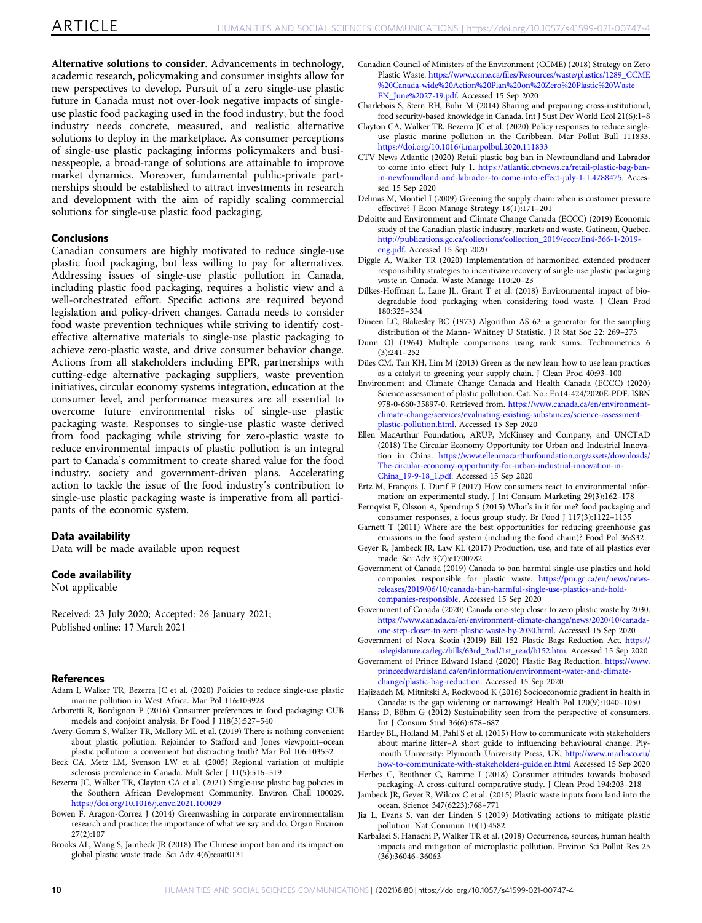<span id="page-9-0"></span>Alternative solutions to consider. Advancements in technology, academic research, policymaking and consumer insights allow for new perspectives to develop. Pursuit of a zero single-use plastic future in Canada must not over-look negative impacts of singleuse plastic food packaging used in the food industry, but the food industry needs concrete, measured, and realistic alternative solutions to deploy in the marketplace. As consumer perceptions of single-use plastic packaging informs policymakers and businesspeople, a broad-range of solutions are attainable to improve market dynamics. Moreover, fundamental public-private partnerships should be established to attract investments in research and development with the aim of rapidly scaling commercial solutions for single-use plastic food packaging.

# Conclusions

Canadian consumers are highly motivated to reduce single-use plastic food packaging, but less willing to pay for alternatives. Addressing issues of single-use plastic pollution in Canada, including plastic food packaging, requires a holistic view and a well-orchestrated effort. Specific actions are required beyond legislation and policy-driven changes. Canada needs to consider food waste prevention techniques while striving to identify costeffective alternative materials to single-use plastic packaging to achieve zero-plastic waste, and drive consumer behavior change. Actions from all stakeholders including EPR, partnerships with cutting-edge alternative packaging suppliers, waste prevention initiatives, circular economy systems integration, education at the consumer level, and performance measures are all essential to overcome future environmental risks of single-use plastic packaging waste. Responses to single-use plastic waste derived from food packaging while striving for zero-plastic waste to reduce environmental impacts of plastic pollution is an integral part to Canada's commitment to create shared value for the food industry, society and government-driven plans. Accelerating action to tackle the issue of the food industry's contribution to single-use plastic packaging waste is imperative from all participants of the economic system.

#### Data availability

Data will be made available upon request

# Code availability

Not applicable

Received: 23 July 2020; Accepted: 26 January 2021; Published online: 17 March 2021

#### **References**

- Adam I, Walker TR, Bezerra JC et al. (2020) Policies to reduce single-use plastic marine pollution in West Africa. Mar Pol 116:103928
- Arboretti R, Bordignon P (2016) Consumer preferences in food packaging: CUB models and conjoint analysis. Br Food J 118(3):527–540
- Avery-Gomm S, Walker TR, Mallory ML et al. (2019) There is nothing convenient about plastic pollution. Rejoinder to Stafford and Jones viewpoint–ocean plastic pollution: a convenient but distracting truth? Mar Pol 106:103552

Beck CA, Metz LM, Svenson LW et al. (2005) Regional variation of multiple sclerosis prevalence in Canada. Mult Scler J 11(5):516–519

- Bezerra JC, Walker TR, Clayton CA et al. (2021) Single-use plastic bag policies in the Southern African Development Community. Environ Chall 100029. <https://doi.org/10.1016/j.envc.2021.100029>
- Bowen F, Aragon-Correa J (2014) Greenwashing in corporate environmentalism research and practice: the importance of what we say and do. Organ Environ 27(2):107
- Brooks AL, Wang S, Jambeck JR (2018) The Chinese import ban and its impact on global plastic waste trade. Sci Adv 4(6):eaat0131
- Canadian Council of Ministers of the Environment (CCME) (2018) Strategy on Zero Plastic Waste. https://www.ccme.ca/fi[les/Resources/waste/plastics/1289\\_CCME](https://www.ccme.ca/files/Resources/waste/plastics/1289_CCME%20Canada-wide%20Action%20Plan%20on%20Zero%20Plastic%20Waste_EN_June%2027-19.pdf) [%20Canada-wide%20Action%20Plan%20on%20Zero%20Plastic%20Waste\\_](https://www.ccme.ca/files/Resources/waste/plastics/1289_CCME%20Canada-wide%20Action%20Plan%20on%20Zero%20Plastic%20Waste_EN_June%2027-19.pdf) [EN\\_June%2027-19.pdf.](https://www.ccme.ca/files/Resources/waste/plastics/1289_CCME%20Canada-wide%20Action%20Plan%20on%20Zero%20Plastic%20Waste_EN_June%2027-19.pdf) Accessed 15 Sep 2020
- Charlebois S, Stern RH, Buhr M (2014) Sharing and preparing: cross-institutional, food security-based knowledge in Canada. Int J Sust Dev World Ecol 21(6):1–8
- Clayton CA, Walker TR, Bezerra JC et al. (2020) Policy responses to reduce singleuse plastic marine pollution in the Caribbean. Mar Pollut Bull 111833. <https://doi.org/10.1016/j.marpolbul.2020.111833>
- CTV News Atlantic (2020) Retail plastic bag ban in Newfoundland and Labrador to come into effect July 1. [https://atlantic.ctvnews.ca/retail-plastic-bag-ban](https://atlantic.ctvnews.ca/retail-plastic-bag-ban-in-newfoundland-and-labrador-to-come-into-effect-july-1-1.4788475)[in-newfoundland-and-labrador-to-come-into-effect-july-1-1.4788475.](https://atlantic.ctvnews.ca/retail-plastic-bag-ban-in-newfoundland-and-labrador-to-come-into-effect-july-1-1.4788475) Accessed 15 Sep 2020
- Delmas M, Montiel I (2009) Greening the supply chain: when is customer pressure effective? J Econ Manage Strategy 18(1):171–201
- Deloitte and Environment and Climate Change Canada (ECCC) (2019) Economic study of the Canadian plastic industry, markets and waste. Gatineau, Quebec. [http://publications.gc.ca/collections/collection\\_2019/eccc/En4-366-1-2019](http://publications.gc.ca/collections/collection_2019/eccc/En4-366-1-2019-eng.pdf) [eng.pdf.](http://publications.gc.ca/collections/collection_2019/eccc/En4-366-1-2019-eng.pdf) Accessed 15 Sep 2020
- Diggle A, Walker TR (2020) Implementation of harmonized extended producer responsibility strategies to incentivize recovery of single-use plastic packaging waste in Canada. Waste Manage 110:20–23
- Dilkes-Hoffman L, Lane JL, Grant T et al. (2018) Environmental impact of biodegradable food packaging when considering food waste. J Clean Prod 180:325–334
- Dineen LC, Blakesley BC (1973) Algorithm AS 62: a generator for the sampling distribution of the Mann- Whitney U Statistic. J R Stat Soc 22: 269–273
- Dunn OJ (1964) Multiple comparisons using rank sums. Technometrics 6 (3):241–252
- Dües CM, Tan KH, Lim M (2013) Green as the new lean: how to use lean practices as a catalyst to greening your supply chain. J Clean Prod 40:93–100
- Environment and Climate Change Canada and Health Canada (ECCC) (2020) Science assessment of plastic pollution. Cat. No.: En14-424/2020E-PDF. ISBN 978-0-660-35897-0. Retrieved from. [https://www.canada.ca/en/environment](https://www.canada.ca/en/environment-climate-change/services/evaluating-existing-substances/science-assessment-plastic-pollution.html)[climate-change/services/evaluating-existing-substances/science-assessment](https://www.canada.ca/en/environment-climate-change/services/evaluating-existing-substances/science-assessment-plastic-pollution.html)[plastic-pollution.html](https://www.canada.ca/en/environment-climate-change/services/evaluating-existing-substances/science-assessment-plastic-pollution.html). Accessed 15 Sep 2020
- Ellen MacArthur Foundation, ARUP, McKinsey and Company, and UNCTAD (2018) The Circular Economy Opportunity for Urban and Industrial Innovation in China. [https://www.ellenmacarthurfoundation.org/assets/downloads/](https://www.ellenmacarthurfoundation.org/assets/downloads/The-circular-economy-opportunity-for-urban-industrial-innovation-in-China_19-9-18_1.pdf) [The-circular-economy-opportunity-for-urban-industrial-innovation-in-](https://www.ellenmacarthurfoundation.org/assets/downloads/The-circular-economy-opportunity-for-urban-industrial-innovation-in-China_19-9-18_1.pdf)[China\\_19-9-18\\_1.pdf.](https://www.ellenmacarthurfoundation.org/assets/downloads/The-circular-economy-opportunity-for-urban-industrial-innovation-in-China_19-9-18_1.pdf) Accessed 15 Sep 2020
- Ertz M, François J, Durif F (2017) How consumers react to environmental information: an experimental study. J Int Consum Marketing 29(3):162–178
- Fernqvist F, Olsson A, Spendrup S (2015) What's in it for me? food packaging and consumer responses, a focus group study. Br Food J 117(3):1122–1135
- Garnett T (2011) Where are the best opportunities for reducing greenhouse gas emissions in the food system (including the food chain)? Food Pol 36:S32
- Geyer R, Jambeck JR, Law KL (2017) Production, use, and fate of all plastics ever made. Sci Adv 3(7):e1700782
- Government of Canada (2019) Canada to ban harmful single-use plastics and hold companies responsible for plastic waste. [https://pm.gc.ca/en/news/news](https://pm.gc.ca/en/news/news-releases/2019/06/10/canada-ban-harmful-single-use-plastics-and-hold-companies-responsible)[releases/2019/06/10/canada-ban-harmful-single-use-plastics-and-hold](https://pm.gc.ca/en/news/news-releases/2019/06/10/canada-ban-harmful-single-use-plastics-and-hold-companies-responsible)[companies-responsible.](https://pm.gc.ca/en/news/news-releases/2019/06/10/canada-ban-harmful-single-use-plastics-and-hold-companies-responsible) Accessed 15 Sep 2020
- Government of Canada (2020) Canada one-step closer to zero plastic waste by 2030. [https://www.canada.ca/en/environment-climate-change/news/2020/10/canada](https://www.canada.ca/en/environment-climate-change/news/2020/10/canada-one-step-closer-to-zero-plastic-waste-by-2030.html)[one-step-closer-to-zero-plastic-waste-by-2030.html.](https://www.canada.ca/en/environment-climate-change/news/2020/10/canada-one-step-closer-to-zero-plastic-waste-by-2030.html) Accessed 15 Sep 2020
- Government of Nova Scotia (2019) Bill 152 Plastic Bags Reduction Act. [https://](https://nslegislature.ca/legc/bills/63rd_2nd/1st_read/b152.htm) [nslegislature.ca/legc/bills/63rd\\_2nd/1st\\_read/b152.htm](https://nslegislature.ca/legc/bills/63rd_2nd/1st_read/b152.htm). Accessed 15 Sep 2020
- Government of Prince Edward Island (2020) Plastic Bag Reduction. [https://www.](https://www.princeedwardisland.ca/en/information/environment-water-and-climate-change/plastic-bag-reduction) [princeedwardisland.ca/en/information/environment-water-and-climate](https://www.princeedwardisland.ca/en/information/environment-water-and-climate-change/plastic-bag-reduction)[change/plastic-bag-reduction.](https://www.princeedwardisland.ca/en/information/environment-water-and-climate-change/plastic-bag-reduction) Accessed 15 Sep 2020
- Hajizadeh M, Mitnitski A, Rockwood K (2016) Socioeconomic gradient in health in Canada: is the gap widening or narrowing? Health Pol 120(9):1040–1050
- Hanss D, Böhm G (2012) Sustainability seen from the perspective of consumers. Int J Consum Stud 36(6):678–687
- Hartley BL, Holland M, Pahl S et al. (2015) How to communicate with stakeholders about marine litter–A short guide to influencing behavioural change. Plymouth University: Plymouth University Press, UK, [http://www.marlisco.eu/](http://www.marlisco.eu/how-to-communicate-with-stakeholders-guide.en.html) [how-to-communicate-with-stakeholders-guide.en.html](http://www.marlisco.eu/how-to-communicate-with-stakeholders-guide.en.html) Accessed 15 Sep 2020
- Herbes C, Beuthner C, Ramme I (2018) Consumer attitudes towards biobased packaging–A cross-cultural comparative study. J Clean Prod 194:203–218
- Jambeck JR, Geyer R, Wilcox C et al. (2015) Plastic waste inputs from land into the ocean. Science 347(6223):768–771
- Jia L, Evans S, van der Linden S (2019) Motivating actions to mitigate plastic pollution. Nat Commun 10(1):4582
- Karbalaei S, Hanachi P, Walker TR et al. (2018) Occurrence, sources, human health impacts and mitigation of microplastic pollution. Environ Sci Pollut Res 25 (36):36046–36063